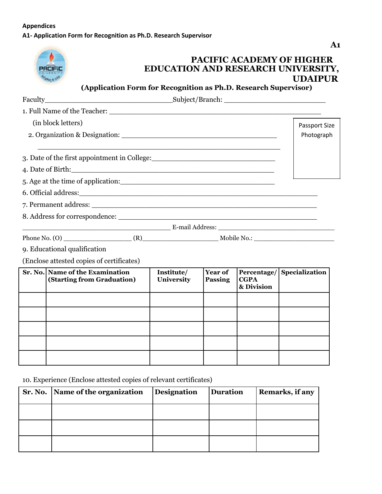## **Appendices A1- Application Form for Recognition as Ph.D. Research Supervisor**



## **PACIFIC ACADEMY OF HIGHER EDUCATION AND RESEARCH UNIVERSITY, UDAIPUR**

**(Application Form for Recognition as Ph.D. Research Supervisor)**

| (in block letters)                                                                                             |                          |                           |                                          | Passport Size  |
|----------------------------------------------------------------------------------------------------------------|--------------------------|---------------------------|------------------------------------------|----------------|
|                                                                                                                |                          |                           |                                          | Photograph     |
| 3. Date of the first appointment in College:                                                                   |                          |                           |                                          |                |
| 4. Date of Birth: 2008 and 2008 and 2008 and 2008 and 2008 and 2008 and 2008 and 2008 and 2008 and 2008 and 20 |                          |                           |                                          |                |
| 5. Age at the time of application:                                                                             |                          |                           |                                          |                |
|                                                                                                                |                          |                           |                                          |                |
|                                                                                                                |                          |                           |                                          |                |
|                                                                                                                |                          |                           |                                          |                |
|                                                                                                                |                          |                           |                                          |                |
|                                                                                                                |                          |                           |                                          |                |
| 9. Educational qualification                                                                                   |                          |                           |                                          |                |
| (Enclose attested copies of certificates)                                                                      |                          |                           |                                          |                |
| Sr. No. Name of the Examination<br>(Starting from Graduation)                                                  | Institute/<br>University | Year of<br><b>Passing</b> | Percentage/<br><b>CGPA</b><br>& Division | Specialization |
|                                                                                                                |                          |                           |                                          |                |
|                                                                                                                |                          |                           |                                          |                |
|                                                                                                                |                          |                           |                                          |                |
|                                                                                                                |                          |                           |                                          |                |
|                                                                                                                |                          |                           |                                          |                |
|                                                                                                                |                          |                           |                                          |                |
|                                                                                                                |                          |                           |                                          |                |

10. Experience (Enclose attested copies of relevant certificates)

| Sr. No. Name of the organization | <b>Designation</b> | <b>Duration</b> | Remarks, if any |
|----------------------------------|--------------------|-----------------|-----------------|
|                                  |                    |                 |                 |
|                                  |                    |                 |                 |
|                                  |                    |                 |                 |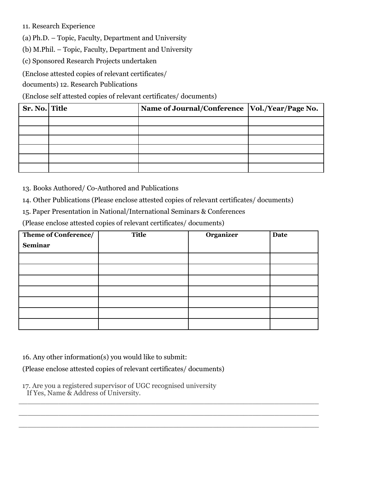11. Research Experience

(a) Ph.D. – Topic, Faculty, Department and University

(b) M.Phil. – Topic, Faculty, Department and University

(c) Sponsored Research Projects undertaken

(Enclose attested copies of relevant certificates/

documents) 12. Research Publications

(Enclose self attested copies of relevant certificates/ documents)

| Sr. No. Title | Name of Journal/Conference   Vol./Year/Page No. |  |
|---------------|-------------------------------------------------|--|
|               |                                                 |  |
|               |                                                 |  |
|               |                                                 |  |
|               |                                                 |  |
|               |                                                 |  |
|               |                                                 |  |

13. Books Authored/ Co-Authored and Publications

14. Other Publications (Please enclose attested copies of relevant certificates/ documents)

15. Paper Presentation in National/International Seminars & Conferences

(Please enclose attested copies of relevant certificates/ documents)

| Theme of Conference/ | <b>Title</b> | Organizer | <b>Date</b> |
|----------------------|--------------|-----------|-------------|
| <b>Seminar</b>       |              |           |             |
|                      |              |           |             |
|                      |              |           |             |
|                      |              |           |             |
|                      |              |           |             |
|                      |              |           |             |
|                      |              |           |             |
|                      |              |           |             |

 $\_$  , and the set of the set of the set of the set of the set of the set of the set of the set of the set of the set of the set of the set of the set of the set of the set of the set of the set of the set of the set of th  $\_$  , and the set of the set of the set of the set of the set of the set of the set of the set of the set of the set of the set of the set of the set of the set of the set of the set of the set of the set of the set of th  $\_$  , and the set of the set of the set of the set of the set of the set of the set of the set of the set of the set of the set of the set of the set of the set of the set of the set of the set of the set of the set of th

16. Any other information(s) you would like to submit:

(Please enclose attested copies of relevant certificates/ documents)

17. Are you a registered supervisor of UGC recognised university If Yes, Name & Address of University.